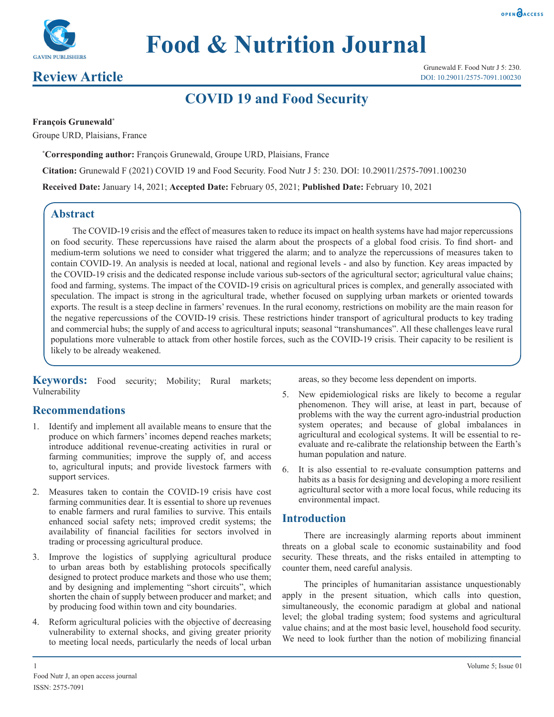



# **Food & Nutrition Journal**

# **Review Article**

# **COVID 19 and Food Security**

# **François Grunewald\***

Groupe URD, Plaisians, France

**\* Corresponding author:** François Grunewald, Groupe URD, Plaisians, France

**Citation:** Grunewald F (2021) COVID 19 and Food Security. Food Nutr J 5: 230. DOI: 10.29011/2575-7091.100230

**Received Date:** January 14, 2021; **Accepted Date:** February 05, 2021; **Published Date:** February 10, 2021

# **Abstract**

The COVID-19 crisis and the effect of measures taken to reduce its impact on health systems have had major repercussions on food security. These repercussions have raised the alarm about the prospects of a global food crisis. To find short- and medium-term solutions we need to consider what triggered the alarm; and to analyze the repercussions of measures taken to contain COVID-19. An analysis is needed at local, national and regional levels - and also by function. Key areas impacted by the COVID-19 crisis and the dedicated response include various sub-sectors of the agricultural sector; agricultural value chains; food and farming, systems. The impact of the COVID-19 crisis on agricultural prices is complex, and generally associated with speculation. The impact is strong in the agricultural trade, whether focused on supplying urban markets or oriented towards exports. The result is a steep decline in farmers' revenues. In the rural economy, restrictions on mobility are the main reason for the negative repercussions of the COVID-19 crisis. These restrictions hinder transport of agricultural products to key trading and commercial hubs; the supply of and access to agricultural inputs; seasonal "transhumances". All these challenges leave rural populations more vulnerable to attack from other hostile forces, such as the COVID-19 crisis. Their capacity to be resilient is likely to be already weakened.

**Keywords:** Food security; Mobility; Rural markets; Vulnerability

# **Recommendations**

- 1. Identify and implement all available means to ensure that the produce on which farmers' incomes depend reaches markets; introduce additional revenue-creating activities in rural or farming communities; improve the supply of, and access to, agricultural inputs; and provide livestock farmers with support services.
- Measures taken to contain the COVID-19 crisis have cost farming communities dear. It is essential to shore up revenues to enable farmers and rural families to survive. This entails enhanced social safety nets; improved credit systems; the availability of financial facilities for sectors involved in trading or processing agricultural produce.
- 3. Improve the logistics of supplying agricultural produce to urban areas both by establishing protocols specifically designed to protect produce markets and those who use them; and by designing and implementing "short circuits", which shorten the chain of supply between producer and market; and by producing food within town and city boundaries.
- 4. Reform agricultural policies with the objective of decreasing vulnerability to external shocks, and giving greater priority to meeting local needs, particularly the needs of local urban

areas, so they become less dependent on imports.

- 5. New epidemiological risks are likely to become a regular phenomenon. They will arise, at least in part, because of problems with the way the current agro-industrial production system operates; and because of global imbalances in agricultural and ecological systems. It will be essential to reevaluate and re-calibrate the relationship between the Earth's human population and nature.
- 6. It is also essential to re-evaluate consumption patterns and habits as a basis for designing and developing a more resilient agricultural sector with a more local focus, while reducing its environmental impact.

# **Introduction**

There are increasingly alarming reports about imminent threats on a global scale to economic sustainability and food security. These threats, and the risks entailed in attempting to counter them, need careful analysis.

The principles of humanitarian assistance unquestionably apply in the present situation, which calls into question, simultaneously, the economic paradigm at global and national level; the global trading system; food systems and agricultural value chains; and at the most basic level, household food security. We need to look further than the notion of mobilizing financial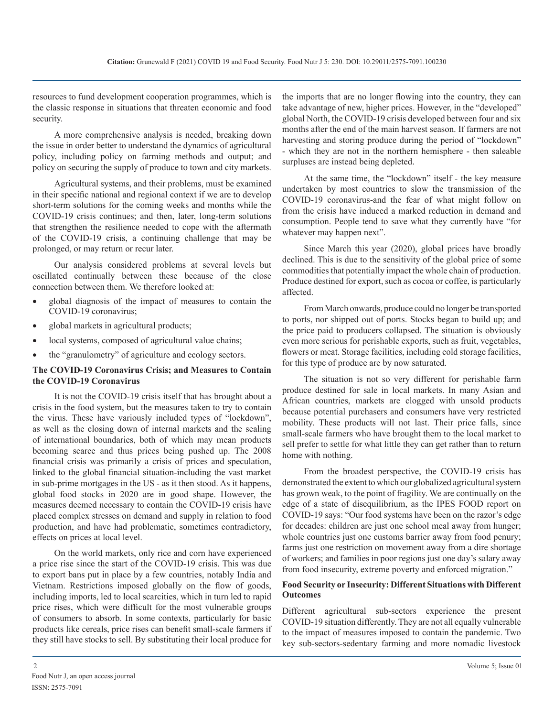resources to fund development cooperation programmes, which is the classic response in situations that threaten economic and food security.

A more comprehensive analysis is needed, breaking down the issue in order better to understand the dynamics of agricultural policy, including policy on farming methods and output; and policy on securing the supply of produce to town and city markets.

Agricultural systems, and their problems, must be examined in their specific national and regional context if we are to develop short-term solutions for the coming weeks and months while the COVID-19 crisis continues; and then, later, long-term solutions that strengthen the resilience needed to cope with the aftermath of the COVID-19 crisis, a continuing challenge that may be prolonged, or may return or recur later.

Our analysis considered problems at several levels but oscillated continually between these because of the close connection between them. We therefore looked at:

- global diagnosis of the impact of measures to contain the COVID-19 coronavirus;
- global markets in agricultural products;
- local systems, composed of agricultural value chains;
- the "granulometry" of agriculture and ecology sectors.

# **The COVID-19 Coronavirus Crisis; and Measures to Contain the COVID-19 Coronavirus**

It is not the COVID-19 crisis itself that has brought about a crisis in the food system, but the measures taken to try to contain the virus. These have variously included types of "lockdown", as well as the closing down of internal markets and the sealing of international boundaries, both of which may mean products becoming scarce and thus prices being pushed up. The 2008 financial crisis was primarily a crisis of prices and speculation, linked to the global financial situation-including the vast market in sub-prime mortgages in the US - as it then stood. As it happens, global food stocks in 2020 are in good shape. However, the measures deemed necessary to contain the COVID-19 crisis have placed complex stresses on demand and supply in relation to food production, and have had problematic, sometimes contradictory, effects on prices at local level.

On the world markets, only rice and corn have experienced a price rise since the start of the COVID-19 crisis. This was due to export bans put in place by a few countries, notably India and Vietnam. Restrictions imposed globally on the flow of goods, including imports, led to local scarcities, which in turn led to rapid price rises, which were difficult for the most vulnerable groups of consumers to absorb. In some contexts, particularly for basic products like cereals, price rises can benefit small-scale farmers if they still have stocks to sell. By substituting their local produce for

the imports that are no longer flowing into the country, they can take advantage of new, higher prices. However, in the "developed" global North, the COVID-19 crisis developed between four and six months after the end of the main harvest season. If farmers are not harvesting and storing produce during the period of "lockdown" - which they are not in the northern hemisphere - then saleable surpluses are instead being depleted.

At the same time, the "lockdown" itself - the key measure undertaken by most countries to slow the transmission of the COVID-19 coronavirus-and the fear of what might follow on from the crisis have induced a marked reduction in demand and consumption. People tend to save what they currently have "for whatever may happen next".

Since March this year (2020), global prices have broadly declined. This is due to the sensitivity of the global price of some commodities that potentially impact the whole chain of production. Produce destined for export, such as cocoa or coffee, is particularly affected.

From March onwards, produce could no longer be transported to ports, nor shipped out of ports. Stocks began to build up; and the price paid to producers collapsed. The situation is obviously even more serious for perishable exports, such as fruit, vegetables, flowers or meat. Storage facilities, including cold storage facilities, for this type of produce are by now saturated.

The situation is not so very different for perishable farm produce destined for sale in local markets. In many Asian and African countries, markets are clogged with unsold products because potential purchasers and consumers have very restricted mobility. These products will not last. Their price falls, since small-scale farmers who have brought them to the local market to sell prefer to settle for what little they can get rather than to return home with nothing.

From the broadest perspective, the COVID-19 crisis has demonstrated the extent to which our globalized agricultural system has grown weak, to the point of fragility. We are continually on the edge of a state of disequilibrium, as the IPES FOOD report on COVID-19 says: "Our food systems have been on the razor's edge for decades: children are just one school meal away from hunger; whole countries just one customs barrier away from food penury; farms just one restriction on movement away from a dire shortage of workers; and families in poor regions just one day's salary away from food insecurity, extreme poverty and enforced migration."

# **Food Security or Insecurity: Different Situations with Different Outcomes**

Different agricultural sub-sectors experience the present COVID-19 situation differently. They are not all equally vulnerable to the impact of measures imposed to contain the pandemic. Two key sub-sectors-sedentary farming and more nomadic livestock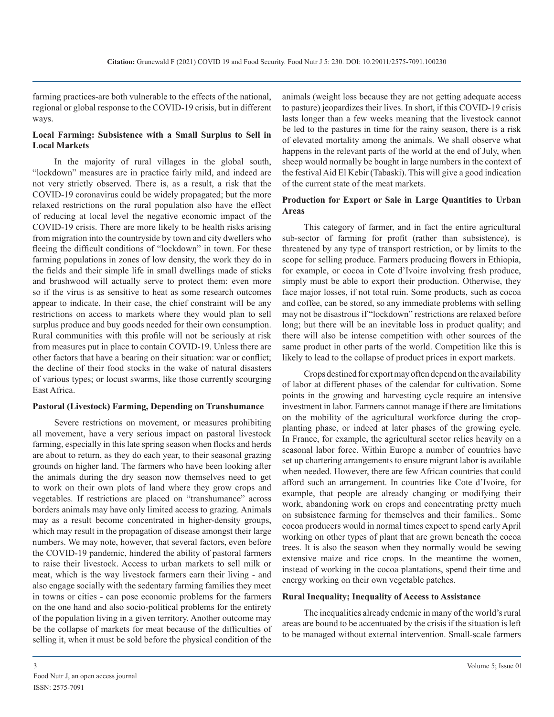farming practices-are both vulnerable to the effects of the national, regional or global response to the COVID-19 crisis, but in different ways.

# **Local Farming: Subsistence with a Small Surplus to Sell in Local Markets**

In the majority of rural villages in the global south, "lockdown" measures are in practice fairly mild, and indeed are not very strictly observed. There is, as a result, a risk that the COVID-19 coronavirus could be widely propagated; but the more relaxed restrictions on the rural population also have the effect of reducing at local level the negative economic impact of the COVID-19 crisis. There are more likely to be health risks arising from migration into the countryside by town and city dwellers who fleeing the difficult conditions of "lockdown" in town. For these farming populations in zones of low density, the work they do in the fields and their simple life in small dwellings made of sticks and brushwood will actually serve to protect them: even more so if the virus is as sensitive to heat as some research outcomes appear to indicate. In their case, the chief constraint will be any restrictions on access to markets where they would plan to sell surplus produce and buy goods needed for their own consumption. Rural communities with this profile will not be seriously at risk from measures put in place to contain COVID-19. Unless there are other factors that have a bearing on their situation: war or conflict; the decline of their food stocks in the wake of natural disasters of various types; or locust swarms, like those currently scourging East Africa.

#### **Pastoral (Livestock) Farming, Depending on Transhumance**

Severe restrictions on movement, or measures prohibiting all movement, have a very serious impact on pastoral livestock farming, especially in this late spring season when flocks and herds are about to return, as they do each year, to their seasonal grazing grounds on higher land. The farmers who have been looking after the animals during the dry season now themselves need to get to work on their own plots of land where they grow crops and vegetables. If restrictions are placed on "transhumance" across borders animals may have only limited access to grazing. Animals may as a result become concentrated in higher-density groups, which may result in the propagation of disease amongst their large numbers. We may note, however, that several factors, even before the COVID-19 pandemic, hindered the ability of pastoral farmers to raise their livestock. Access to urban markets to sell milk or meat, which is the way livestock farmers earn their living - and also engage socially with the sedentary farming families they meet in towns or cities - can pose economic problems for the farmers on the one hand and also socio-political problems for the entirety of the population living in a given territory. Another outcome may be the collapse of markets for meat because of the difficulties of selling it, when it must be sold before the physical condition of the animals (weight loss because they are not getting adequate access to pasture) jeopardizes their lives. In short, if this COVID-19 crisis lasts longer than a few weeks meaning that the livestock cannot be led to the pastures in time for the rainy season, there is a risk of elevated mortality among the animals. We shall observe what happens in the relevant parts of the world at the end of July, when sheep would normally be bought in large numbers in the context of the festival Aid El Kebir (Tabaski). This will give a good indication of the current state of the meat markets.

#### **Production for Export or Sale in Large Quantities to Urban Areas**

This category of farmer, and in fact the entire agricultural sub-sector of farming for profit (rather than subsistence), is threatened by any type of transport restriction, or by limits to the scope for selling produce. Farmers producing flowers in Ethiopia, for example, or cocoa in Cote d'Ivoire involving fresh produce, simply must be able to export their production. Otherwise, they face major losses, if not total ruin. Some products, such as cocoa and coffee, can be stored, so any immediate problems with selling may not be disastrous if "lockdown" restrictions are relaxed before long; but there will be an inevitable loss in product quality; and there will also be intense competition with other sources of the same product in other parts of the world. Competition like this is likely to lead to the collapse of product prices in export markets.

Crops destined for export may often depend on the availability of labor at different phases of the calendar for cultivation. Some points in the growing and harvesting cycle require an intensive investment in labor. Farmers cannot manage if there are limitations on the mobility of the agricultural workforce during the cropplanting phase, or indeed at later phases of the growing cycle. In France, for example, the agricultural sector relies heavily on a seasonal labor force. Within Europe a number of countries have set up chartering arrangements to ensure migrant labor is available when needed. However, there are few African countries that could afford such an arrangement. In countries like Cote d'Ivoire, for example, that people are already changing or modifying their work, abandoning work on crops and concentrating pretty much on subsistence farming for themselves and their families.. Some cocoa producers would in normal times expect to spend early April working on other types of plant that are grown beneath the cocoa trees. It is also the season when they normally would be sewing extensive maize and rice crops. In the meantime the women, instead of working in the cocoa plantations, spend their time and energy working on their own vegetable patches.

#### **Rural Inequality; Inequality of Access to Assistance**

The inequalities already endemic in many of the world's rural areas are bound to be accentuated by the crisis if the situation is left to be managed without external intervention. Small-scale farmers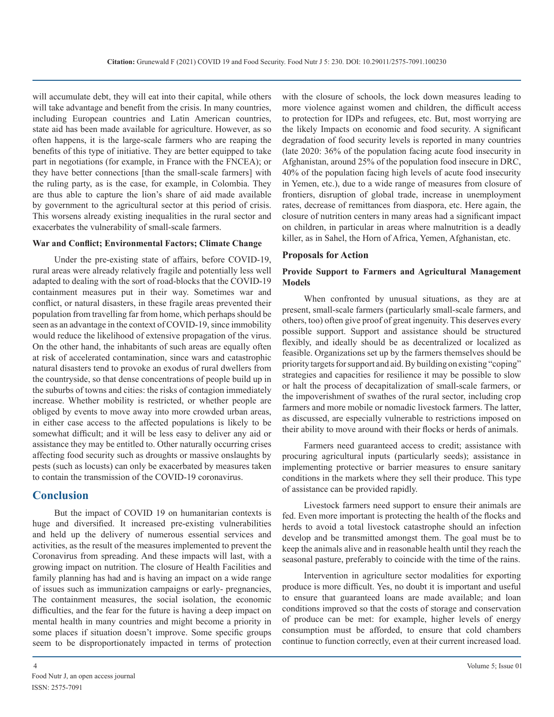will accumulate debt, they will eat into their capital, while others will take advantage and benefit from the crisis. In many countries, including European countries and Latin American countries, state aid has been made available for agriculture. However, as so often happens, it is the large-scale farmers who are reaping the benefits of this type of initiative. They are better equipped to take part in negotiations (for example, in France with the FNCEA); or they have better connections [than the small-scale farmers] with the ruling party, as is the case, for example, in Colombia. They are thus able to capture the lion's share of aid made available by government to the agricultural sector at this period of crisis. This worsens already existing inequalities in the rural sector and exacerbates the vulnerability of small-scale farmers.

# **War and Conflict; Environmental Factors; Climate Change**

Under the pre-existing state of affairs, before COVID-19, rural areas were already relatively fragile and potentially less well adapted to dealing with the sort of road-blocks that the COVID-19 containment measures put in their way. Sometimes war and conflict, or natural disasters, in these fragile areas prevented their population from travelling far from home, which perhaps should be seen as an advantage in the context of COVID-19, since immobility would reduce the likelihood of extensive propagation of the virus. On the other hand, the inhabitants of such areas are equally often at risk of accelerated contamination, since wars and catastrophic natural disasters tend to provoke an exodus of rural dwellers from the countryside, so that dense concentrations of people build up in the suburbs of towns and cities: the risks of contagion immediately increase. Whether mobility is restricted, or whether people are obliged by events to move away into more crowded urban areas, in either case access to the affected populations is likely to be somewhat difficult; and it will be less easy to deliver any aid or assistance they may be entitled to. Other naturally occurring crises affecting food security such as droughts or massive onslaughts by pests (such as locusts) can only be exacerbated by measures taken to contain the transmission of the COVID-19 coronavirus.

# **Conclusion**

But the impact of COVID 19 on humanitarian contexts is huge and diversified. It increased pre-existing vulnerabilities and held up the delivery of numerous essential services and activities, as the result of the measures implemented to prevent the Coronavirus from spreading. And these impacts will last, with a growing impact on nutrition. The closure of Health Facilities and family planning has had and is having an impact on a wide range of issues such as immunization campaigns or early- pregnancies, The containment measures, the social isolation, the economic difficulties, and the fear for the future is having a deep impact on mental health in many countries and might become a priority in some places if situation doesn't improve. Some specific groups seem to be disproportionately impacted in terms of protection

with the closure of schools, the lock down measures leading to more violence against women and children, the difficult access to protection for IDPs and refugees, etc. But, most worrying are the likely Impacts on economic and food security. A significant degradation of food security levels is reported in many countries (late 2020: 36% of the population facing acute food insecurity in Afghanistan, around 25% of the population food insecure in DRC, 40% of the population facing high levels of acute food insecurity in Yemen, etc.), due to a wide range of measures from closure of frontiers, disruption of global trade, increase in unemployment rates, decrease of remittances from diaspora, etc. Here again, the closure of nutrition centers in many areas had a significant impact on children, in particular in areas where malnutrition is a deadly killer, as in Sahel, the Horn of Africa, Yemen, Afghanistan, etc.

#### **Proposals for Action**

# **Provide Support to Farmers and Agricultural Management Models**

When confronted by unusual situations, as they are at present, small-scale farmers (particularly small-scale farmers, and others, too) often give proof of great ingenuity. This deserves every possible support. Support and assistance should be structured flexibly, and ideally should be as decentralized or localized as feasible. Organizations set up by the farmers themselves should be priority targets for support and aid. By building on existing "coping" strategies and capacities for resilience it may be possible to slow or halt the process of decapitalization of small-scale farmers, or the impoverishment of swathes of the rural sector, including crop farmers and more mobile or nomadic livestock farmers. The latter, as discussed, are especially vulnerable to restrictions imposed on their ability to move around with their flocks or herds of animals.

Farmers need guaranteed access to credit; assistance with procuring agricultural inputs (particularly seeds); assistance in implementing protective or barrier measures to ensure sanitary conditions in the markets where they sell their produce. This type of assistance can be provided rapidly.

Livestock farmers need support to ensure their animals are fed. Even more important is protecting the health of the flocks and herds to avoid a total livestock catastrophe should an infection develop and be transmitted amongst them. The goal must be to keep the animals alive and in reasonable health until they reach the seasonal pasture, preferably to coincide with the time of the rains.

Intervention in agriculture sector modalities for exporting produce is more difficult. Yes, no doubt it is important and useful to ensure that guaranteed loans are made available; and loan conditions improved so that the costs of storage and conservation of produce can be met: for example, higher levels of energy consumption must be afforded, to ensure that cold chambers continue to function correctly, even at their current increased load.